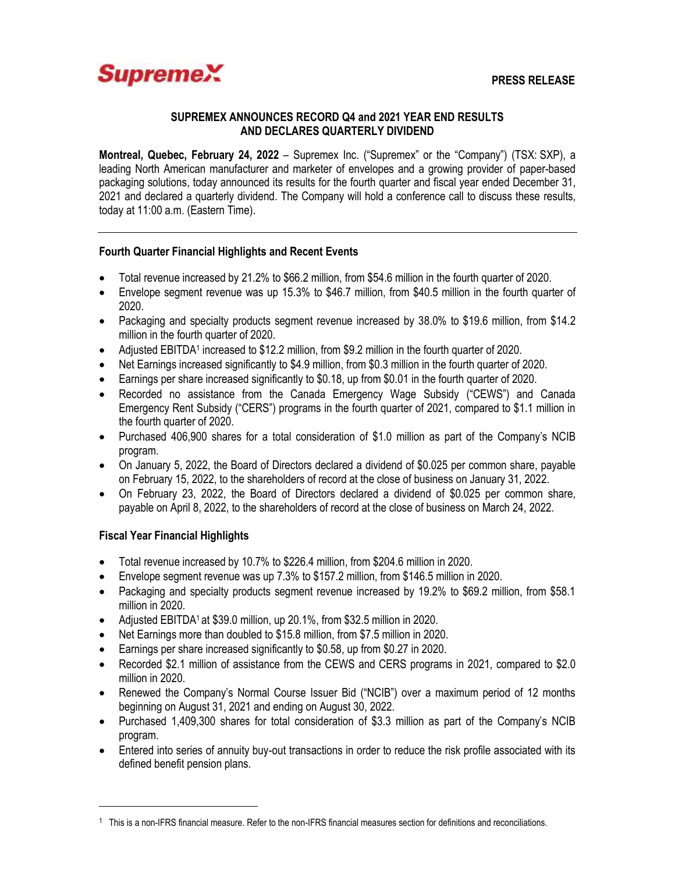

#### **SUPREMEX ANNOUNCES RECORD Q4 and 2021 YEAR END RESULTS AND DECLARES QUARTERLY DIVIDEND**

**Montreal, Quebec, February 24, 2022** – Supremex Inc. ("Supremex" or the "Company") (TSX: SXP), a leading North American manufacturer and marketer of envelopes and a growing provider of paper-based packaging solutions, today announced its results for the fourth quarter and fiscal year ended December 31, 2021 and declared a quarterly dividend. The Company will hold a conference call to discuss these results, today at 11:00 a.m. (Eastern Time).

# **Fourth Quarter Financial Highlights and Recent Events**

- Total revenue increased by 21.2% to \$66.2 million, from \$54.6 million in the fourth quarter of 2020.
- Envelope segment revenue was up 15.3% to \$46.7 million, from \$40.5 million in the fourth quarter of 2020.
- Packaging and specialty products segment revenue increased by 38.0% to \$19.6 million, from \$14.2 million in the fourth quarter of 2020.
- Adjusted EBITDA<sup>1</sup> increased to \$12.2 million, from \$9.2 million in the fourth quarter of 2020.
- Net Earnings increased significantly to \$4.9 million, from \$0.3 million in the fourth quarter of 2020.
- Earnings per share increased significantly to \$0.18, up from \$0.01 in the fourth quarter of 2020.
- Recorded no assistance from the Canada Emergency Wage Subsidy ("CEWS") and Canada Emergency Rent Subsidy ("CERS") programs in the fourth quarter of 2021, compared to \$1.1 million in the fourth quarter of 2020.
- Purchased 406,900 shares for a total consideration of \$1.0 million as part of the Company's NCIB program.
- On January 5, 2022, the Board of Directors declared a dividend of \$0.025 per common share, payable on February 15, 2022, to the shareholders of record at the close of business on January 31, 2022.
- On February 23, 2022, the Board of Directors declared a dividend of \$0.025 per common share, payable on April 8, 2022, to the shareholders of record at the close of business on March 24, 2022.

# **Fiscal Year Financial Highlights**

 $\overline{a}$ 

- Total revenue increased by 10.7% to \$226.4 million, from \$204.6 million in 2020.
- Envelope segment revenue was up 7.3% to \$157.2 million, from \$146.5 million in 2020.
- Packaging and specialty products segment revenue increased by 19.2% to \$69.2 million, from \$58.1 million in 2020.
- Adjusted EBITDA<sup>1</sup> at \$39.0 million, up 20.1%, from \$32.5 million in 2020.
- Net Earnings more than doubled to \$15.8 million, from \$7.5 million in 2020.
- Earnings per share increased significantly to \$0.58, up from \$0.27 in 2020.
- Recorded \$2.1 million of assistance from the CEWS and CERS programs in 2021, compared to \$2.0 million in 2020.
- Renewed the Company's Normal Course Issuer Bid ("NCIB") over a maximum period of 12 months beginning on August 31, 2021 and ending on August 30, 2022.
- Purchased 1,409,300 shares for total consideration of \$3.3 million as part of the Company's NCIB program.
- Entered into series of annuity buy-out transactions in order to reduce the risk profile associated with its defined benefit pension plans.

<sup>1</sup> This is a non-IFRS financial measure. Refer to the non-IFRS financial measures section for definitions and reconciliations.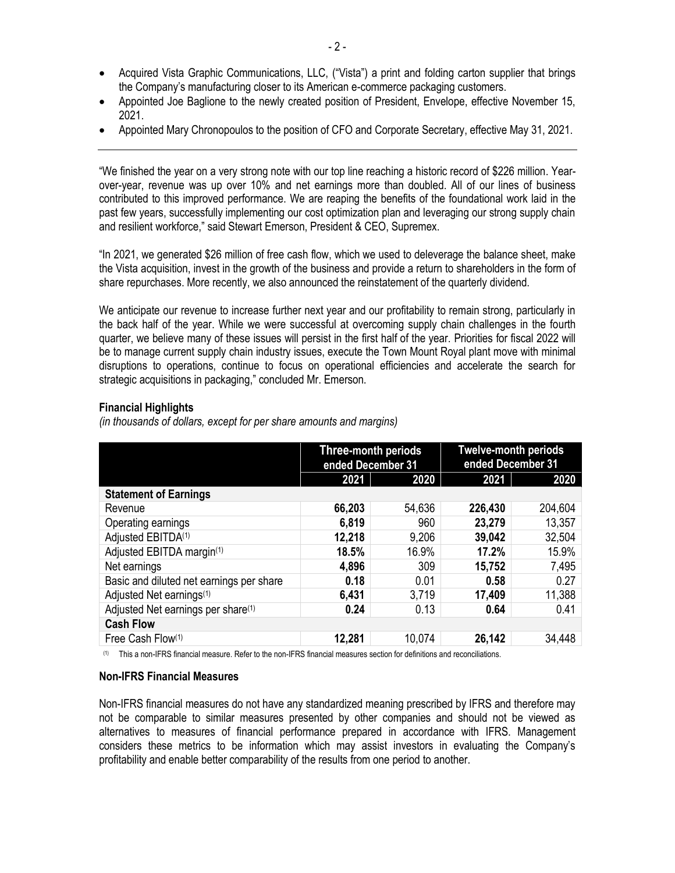- Acquired Vista Graphic Communications, LLC, ("Vista") a print and folding carton supplier that brings the Company's manufacturing closer to its American e-commerce packaging customers.
- Appointed Joe Baglione to the newly created position of President, Envelope, effective November 15, 2021.
- Appointed Mary Chronopoulos to the position of CFO and Corporate Secretary, effective May 31, 2021.

"We finished the year on a very strong note with our top line reaching a historic record of \$226 million. Yearover-year, revenue was up over 10% and net earnings more than doubled. All of our lines of business contributed to this improved performance. We are reaping the benefits of the foundational work laid in the past few years, successfully implementing our cost optimization plan and leveraging our strong supply chain and resilient workforce," said Stewart Emerson, President & CEO, Supremex.

"In 2021, we generated \$26 million of free cash flow, which we used to deleverage the balance sheet, make the Vista acquisition, invest in the growth of the business and provide a return to shareholders in the form of share repurchases. More recently, we also announced the reinstatement of the quarterly dividend.

We anticipate our revenue to increase further next year and our profitability to remain strong, particularly in the back half of the year. While we were successful at overcoming supply chain challenges in the fourth quarter, we believe many of these issues will persist in the first half of the year. Priorities for fiscal 2022 will be to manage current supply chain industry issues, execute the Town Mount Royal plant move with minimal disruptions to operations, continue to focus on operational efficiencies and accelerate the search for strategic acquisitions in packaging," concluded Mr. Emerson.

### **Financial Highlights**

*(in thousands of dollars, except for per share amounts and margins)*

|                                                | Three-month periods<br>ended December 31 |        | <b>Twelve-month periods</b><br>ended December 31 |         |  |
|------------------------------------------------|------------------------------------------|--------|--------------------------------------------------|---------|--|
|                                                | 2021<br>2020                             |        | 2021                                             | 2020    |  |
| <b>Statement of Earnings</b>                   |                                          |        |                                                  |         |  |
| Revenue                                        | 66,203                                   | 54,636 | 226,430                                          | 204,604 |  |
| Operating earnings                             | 6,819                                    | 960    | 23,279                                           | 13,357  |  |
| Adjusted EBITDA <sup>(1)</sup>                 | 12,218                                   | 9,206  | 39,042                                           | 32,504  |  |
| Adjusted EBITDA margin(1)                      | 18.5%                                    | 16.9%  | 17.2%                                            | 15.9%   |  |
| Net earnings                                   | 4,896                                    | 309    | 15,752                                           | 7,495   |  |
| Basic and diluted net earnings per share       | 0.18                                     | 0.01   | 0.58                                             | 0.27    |  |
| Adjusted Net earnings <sup>(1)</sup>           | 6,431                                    | 3,719  | 17,409                                           | 11,388  |  |
| Adjusted Net earnings per share <sup>(1)</sup> | 0.24                                     | 0.13   | 0.64                                             | 0.41    |  |
| <b>Cash Flow</b>                               |                                          |        |                                                  |         |  |
| Free Cash Flow(1)                              | 12,281                                   | 10,074 | 26,142                                           | 34,448  |  |

(1) This a non-IFRS financial measure. Refer to the non-IFRS financial measures section for definitions and reconciliations.

#### **Non-IFRS Financial Measures**

Non-IFRS financial measures do not have any standardized meaning prescribed by IFRS and therefore may not be comparable to similar measures presented by other companies and should not be viewed as alternatives to measures of financial performance prepared in accordance with IFRS. Management considers these metrics to be information which may assist investors in evaluating the Company's profitability and enable better comparability of the results from one period to another.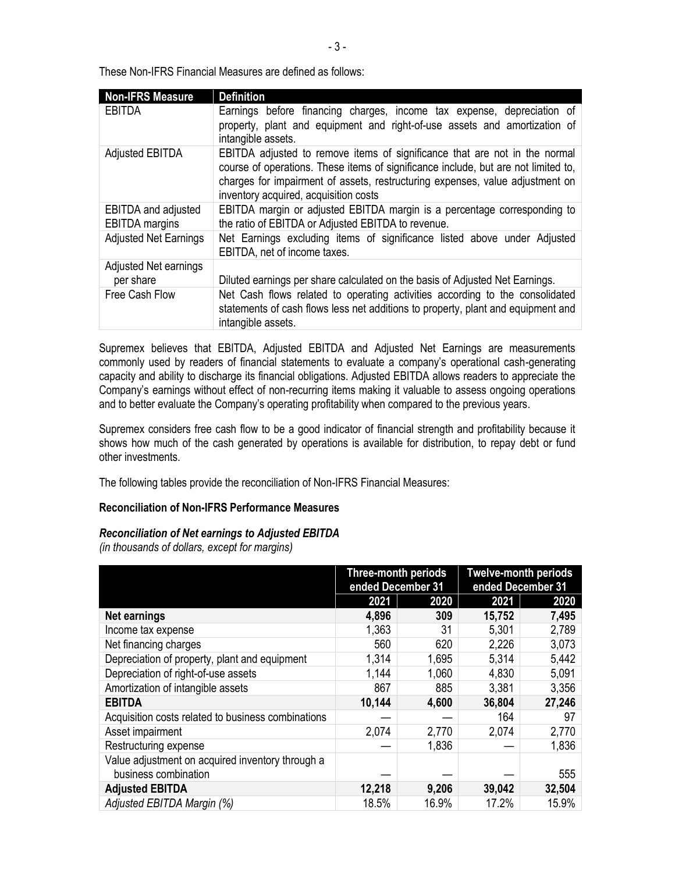These Non-IFRS Financial Measures are defined as follows:

| <b>Non-IFRS Measure</b>                             | <b>Definition</b>                                                                                                                                                                                                                                                                          |
|-----------------------------------------------------|--------------------------------------------------------------------------------------------------------------------------------------------------------------------------------------------------------------------------------------------------------------------------------------------|
| EBITDA                                              | Earnings before financing charges, income tax expense, depreciation of<br>property, plant and equipment and right-of-use assets and amortization of<br>intangible assets.                                                                                                                  |
| Adjusted EBITDA                                     | EBITDA adjusted to remove items of significance that are not in the normal<br>course of operations. These items of significance include, but are not limited to,<br>charges for impairment of assets, restructuring expenses, value adjustment on<br>inventory acquired, acquisition costs |
| <b>EBITDA</b> and adjusted<br><b>EBITDA</b> margins | EBITDA margin or adjusted EBITDA margin is a percentage corresponding to<br>the ratio of EBITDA or Adjusted EBITDA to revenue.                                                                                                                                                             |
| <b>Adjusted Net Earnings</b>                        | Net Earnings excluding items of significance listed above under Adjusted<br>EBITDA, net of income taxes.                                                                                                                                                                                   |
| Adjusted Net earnings<br>per share                  | Diluted earnings per share calculated on the basis of Adjusted Net Earnings.                                                                                                                                                                                                               |
| Free Cash Flow                                      | Net Cash flows related to operating activities according to the consolidated<br>statements of cash flows less net additions to property, plant and equipment and<br>intangible assets.                                                                                                     |

Supremex believes that EBITDA, Adjusted EBITDA and Adjusted Net Earnings are measurements commonly used by readers of financial statements to evaluate a company's operational cash-generating capacity and ability to discharge its financial obligations. Adjusted EBITDA allows readers to appreciate the Company's earnings without effect of non-recurring items making it valuable to assess ongoing operations and to better evaluate the Company's operating profitability when compared to the previous years.

Supremex considers free cash flow to be a good indicator of financial strength and profitability because it shows how much of the cash generated by operations is available for distribution, to repay debt or fund other investments.

The following tables provide the reconciliation of Non-IFRS Financial Measures:

### **Reconciliation of Non-IFRS Performance Measures**

### *Reconciliation of Net earnings to Adjusted EBITDA*

*(in thousands of dollars, except for margins)*

|                                                                          | <b>Three-month periods</b><br>ended December 31 |       | <b>Twelve-month periods</b><br>ended December 31 |        |
|--------------------------------------------------------------------------|-------------------------------------------------|-------|--------------------------------------------------|--------|
|                                                                          | 2021                                            | 2020  | 2021                                             | 2020   |
| <b>Net earnings</b>                                                      | 4,896                                           | 309   | 15,752                                           | 7,495  |
| Income tax expense                                                       | 1,363                                           | 31    | 5,301                                            | 2,789  |
| Net financing charges                                                    | 560                                             | 620   | 2,226                                            | 3,073  |
| Depreciation of property, plant and equipment                            | 1,314                                           | 1,695 | 5,314                                            | 5,442  |
| Depreciation of right-of-use assets                                      | 1,144                                           | 1,060 | 4,830                                            | 5,091  |
| Amortization of intangible assets                                        | 867                                             | 885   | 3,381                                            | 3,356  |
| <b>EBITDA</b>                                                            | 10,144                                          | 4,600 | 36,804                                           | 27,246 |
| Acquisition costs related to business combinations                       |                                                 |       | 164                                              | 97     |
| Asset impairment                                                         | 2,074                                           | 2,770 | 2,074                                            | 2,770  |
| Restructuring expense                                                    |                                                 | 1,836 |                                                  | 1,836  |
| Value adjustment on acquired inventory through a<br>business combination |                                                 |       |                                                  | 555    |
| <b>Adjusted EBITDA</b>                                                   | 12,218                                          | 9,206 | 39,042                                           | 32,504 |
| Adjusted EBITDA Margin (%)                                               | 18.5%                                           | 16.9% | 17.2%                                            | 15.9%  |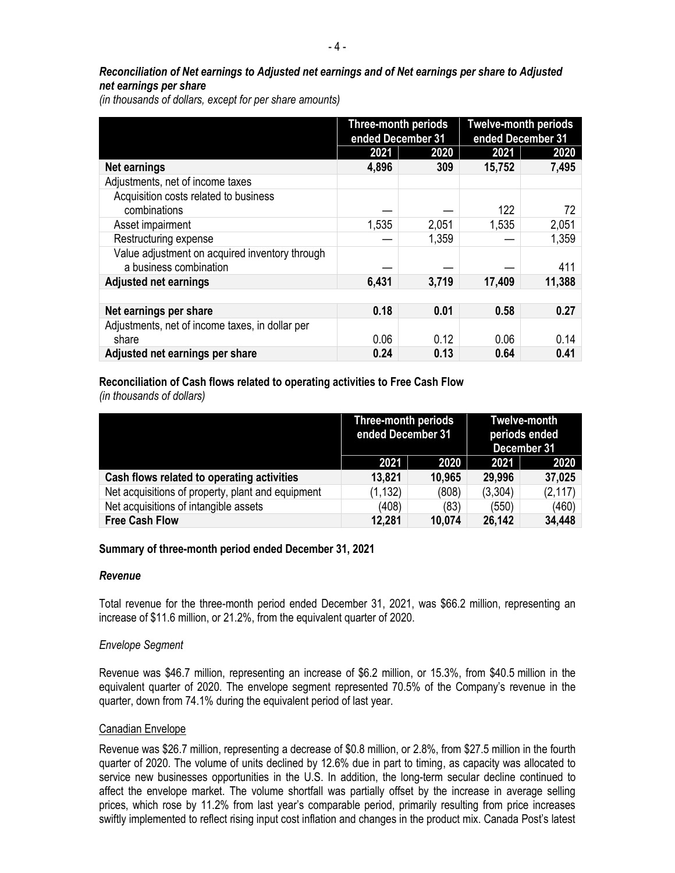# *Reconciliation of Net earnings to Adjusted net earnings and of Net earnings per share to Adjusted net earnings per share*

*(in thousands of dollars, except for per share amounts)*

|                                                 | <b>Three-month periods</b><br>ended December 31 |       | <b>Twelve-month periods</b><br>ended December 31 |        |
|-------------------------------------------------|-------------------------------------------------|-------|--------------------------------------------------|--------|
|                                                 | 2021                                            | 2020  | 2021                                             | 2020   |
| <b>Net earnings</b>                             | 4,896                                           | 309   | 15,752                                           | 7,495  |
| Adjustments, net of income taxes                |                                                 |       |                                                  |        |
| Acquisition costs related to business           |                                                 |       |                                                  |        |
| combinations                                    |                                                 |       | 122                                              | 72     |
| Asset impairment                                | 1,535                                           | 2,051 | 1,535                                            | 2,051  |
| Restructuring expense                           |                                                 | 1,359 |                                                  | 1,359  |
| Value adjustment on acquired inventory through  |                                                 |       |                                                  |        |
| a business combination                          |                                                 |       |                                                  | 411    |
| <b>Adjusted net earnings</b>                    | 6,431                                           | 3,719 | 17,409                                           | 11,388 |
|                                                 |                                                 |       |                                                  |        |
| Net earnings per share                          | 0.18                                            | 0.01  | 0.58                                             | 0.27   |
| Adjustments, net of income taxes, in dollar per |                                                 |       |                                                  |        |
| share                                           | 0.06                                            | 0.12  | 0.06                                             | 0.14   |
| Adjusted net earnings per share                 | 0.24                                            | 0.13  | 0.64                                             | 0.41   |

# **Reconciliation of Cash flows related to operating activities to Free Cash Flow**

*(in thousands of dollars)*

|                                                   | Three-month periods<br>ended December 31 |        | <b>Twelve-month</b><br>periods ended<br>December 31 |          |
|---------------------------------------------------|------------------------------------------|--------|-----------------------------------------------------|----------|
|                                                   | 2021                                     | 2020   | 2021                                                | 2020     |
| Cash flows related to operating activities        | 13,821                                   | 10,965 | 29,996                                              | 37,025   |
| Net acquisitions of property, plant and equipment | (1, 132)                                 | (808)  | (3,304)                                             | (2, 117) |
| Net acquisitions of intangible assets             | (408)                                    | (83)   | (550)                                               | (460)    |
| <b>Free Cash Flow</b>                             | 12,281                                   | 10,074 | 26,142                                              | 34,448   |

# **Summary of three-month period ended December 31, 2021**

### *Revenue*

Total revenue for the three-month period ended December 31, 2021, was \$66.2 million, representing an increase of \$11.6 million, or 21.2%, from the equivalent quarter of 2020.

### *Envelope Segment*

Revenue was \$46.7 million, representing an increase of \$6.2 million, or 15.3%, from \$40.5 million in the equivalent quarter of 2020. The envelope segment represented 70.5% of the Company's revenue in the quarter, down from 74.1% during the equivalent period of last year.

### Canadian Envelope

Revenue was \$26.7 million, representing a decrease of \$0.8 million, or 2.8%, from \$27.5 million in the fourth quarter of 2020. The volume of units declined by 12.6% due in part to timing, as capacity was allocated to service new businesses opportunities in the U.S. In addition, the long-term secular decline continued to affect the envelope market. The volume shortfall was partially offset by the increase in average selling prices, which rose by 11.2% from last year's comparable period, primarily resulting from price increases swiftly implemented to reflect rising input cost inflation and changes in the product mix. Canada Post's latest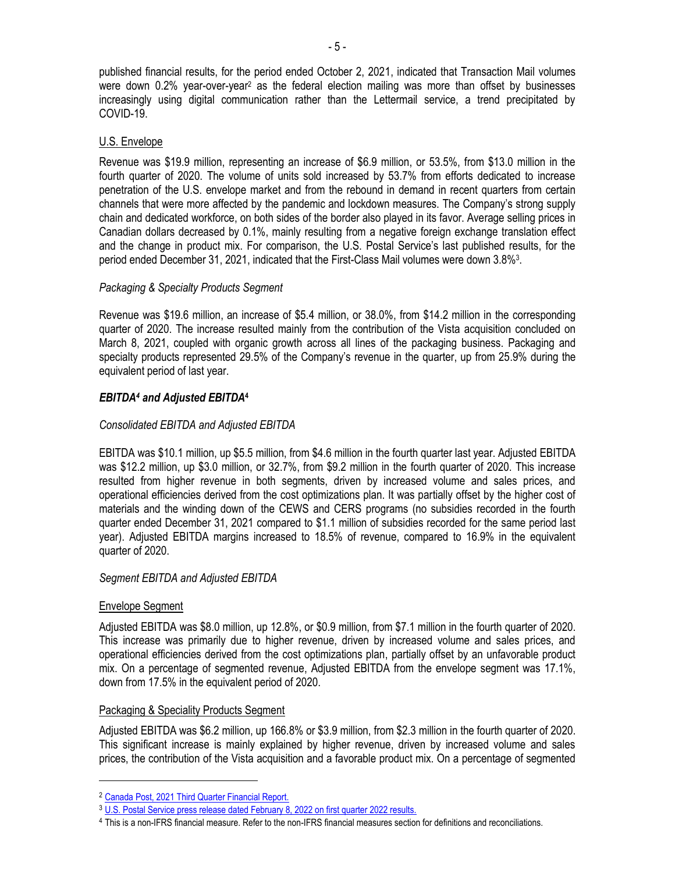published financial results, for the period ended October 2, 2021, indicated that Transaction Mail volumes were down 0.2% year-over-year<sup>2</sup> as the federal election mailing was more than offset by businesses increasingly using digital communication rather than the Lettermail service, a trend precipitated by COVID-19.

# U.S. Envelope

Revenue was \$19.9 million, representing an increase of \$6.9 million, or 53.5%, from \$13.0 million in the fourth quarter of 2020. The volume of units sold increased by 53.7% from efforts dedicated to increase penetration of the U.S. envelope market and from the rebound in demand in recent quarters from certain channels that were more affected by the pandemic and lockdown measures. The Company's strong supply chain and dedicated workforce, on both sides of the border also played in its favor. Average selling prices in Canadian dollars decreased by 0.1%, mainly resulting from a negative foreign exchange translation effect and the change in product mix. For comparison, the U.S. Postal Service's last published results, for the period ended December 31, 2021, indicated that the First-Class Mail volumes were down 3.8%<sup>3</sup> .

# *Packaging & Specialty Products Segment*

Revenue was \$19.6 million, an increase of \$5.4 million, or 38.0%, from \$14.2 million in the corresponding quarter of 2020. The increase resulted mainly from the contribution of the Vista acquisition concluded on March 8, 2021, coupled with organic growth across all lines of the packaging business. Packaging and specialty products represented 29.5% of the Company's revenue in the quarter, up from 25.9% during the equivalent period of last year.

# *EBITDA<sup>4</sup> and Adjusted EBITDA***<sup>4</sup>**

# *Consolidated EBITDA and Adjusted EBITDA*

EBITDA was \$10.1 million, up \$5.5 million, from \$4.6 million in the fourth quarter last year. Adjusted EBITDA was \$12.2 million, up \$3.0 million, or 32.7%, from \$9.2 million in the fourth quarter of 2020. This increase resulted from higher revenue in both segments, driven by increased volume and sales prices, and operational efficiencies derived from the cost optimizations plan. It was partially offset by the higher cost of materials and the winding down of the CEWS and CERS programs (no subsidies recorded in the fourth quarter ended December 31, 2021 compared to \$1.1 million of subsidies recorded for the same period last year). Adjusted EBITDA margins increased to 18.5% of revenue, compared to 16.9% in the equivalent quarter of 2020.

### *Segment EBITDA and Adjusted EBITDA*

### Envelope Segment

 $\overline{a}$ 

Adjusted EBITDA was \$8.0 million, up 12.8%, or \$0.9 million, from \$7.1 million in the fourth quarter of 2020. This increase was primarily due to higher revenue, driven by increased volume and sales prices, and operational efficiencies derived from the cost optimizations plan, partially offset by an unfavorable product mix. On a percentage of segmented revenue, Adjusted EBITDA from the envelope segment was 17.1%, down from 17.5% in the equivalent period of 2020.

### Packaging & Speciality Products Segment

Adjusted EBITDA was \$6.2 million, up 166.8% or \$3.9 million, from \$2.3 million in the fourth quarter of 2020. This significant increase is mainly explained by higher revenue, driven by increased volume and sales prices, the contribution of the Vista acquisition and a favorable product mix. On a percentage of segmented

<sup>2</sup> [Canada Post, 2021 Third Quarter Financial Report.](https://www.canadapost-postescanada.ca/cpc/doc/en/news-and-media/2021_Q3_report_EN.pdf)

<sup>3</sup> [U.S. Postal Service press release dated February 8, 2022 on first quarter 2022 results.](https://about.usps.com/newsroom/national-releases/2022/0208-usps-reports-first-quarter-fiscal-year-2022-results.htm)

<sup>4</sup> This is a non-IFRS financial measure. Refer to the non-IFRS financial measures section for definitions and reconciliations.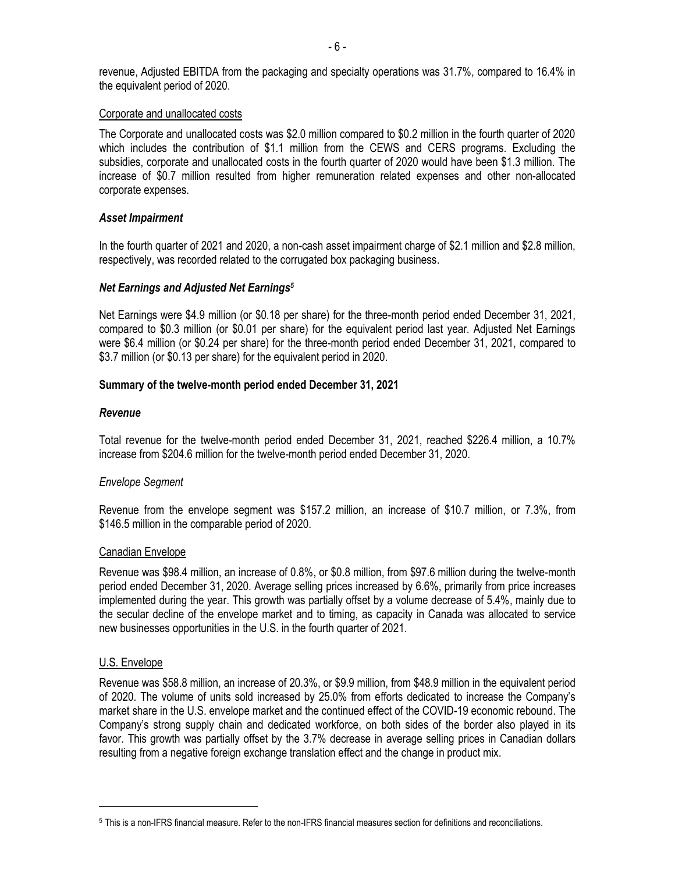revenue, Adjusted EBITDA from the packaging and specialty operations was 31.7%, compared to 16.4% in the equivalent period of 2020.

#### Corporate and unallocated costs

The Corporate and unallocated costs was \$2.0 million compared to \$0.2 million in the fourth quarter of 2020 which includes the contribution of \$1.1 million from the CEWS and CERS programs. Excluding the subsidies, corporate and unallocated costs in the fourth quarter of 2020 would have been \$1.3 million. The increase of \$0.7 million resulted from higher remuneration related expenses and other non-allocated corporate expenses.

#### *Asset Impairment*

In the fourth quarter of 2021 and 2020, a non-cash asset impairment charge of \$2.1 million and \$2.8 million, respectively, was recorded related to the corrugated box packaging business.

### *Net Earnings and Adjusted Net Earnings<sup>5</sup>*

Net Earnings were \$4.9 million (or \$0.18 per share) for the three-month period ended December 31, 2021, compared to \$0.3 million (or \$0.01 per share) for the equivalent period last year. Adjusted Net Earnings were \$6.4 million (or \$0.24 per share) for the three-month period ended December 31, 2021, compared to \$3.7 million (or \$0.13 per share) for the equivalent period in 2020.

#### **Summary of the twelve-month period ended December 31, 2021**

#### *Revenue*

Total revenue for the twelve-month period ended December 31, 2021, reached \$226.4 million, a 10.7% increase from \$204.6 million for the twelve-month period ended December 31, 2020.

### *Envelope Segment*

Revenue from the envelope segment was \$157.2 million, an increase of \$10.7 million, or 7.3%, from \$146.5 million in the comparable period of 2020.

#### Canadian Envelope

Revenue was \$98.4 million, an increase of 0.8%, or \$0.8 million, from \$97.6 million during the twelve-month period ended December 31, 2020. Average selling prices increased by 6.6%, primarily from price increases implemented during the year. This growth was partially offset by a volume decrease of 5.4%, mainly due to the secular decline of the envelope market and to timing, as capacity in Canada was allocated to service new businesses opportunities in the U.S. in the fourth quarter of 2021.

### U.S. Envelope

 $\overline{a}$ 

Revenue was \$58.8 million, an increase of 20.3%, or \$9.9 million, from \$48.9 million in the equivalent period of 2020. The volume of units sold increased by 25.0% from efforts dedicated to increase the Company's market share in the U.S. envelope market and the continued effect of the COVID-19 economic rebound. The Company's strong supply chain and dedicated workforce, on both sides of the border also played in its favor. This growth was partially offset by the 3.7% decrease in average selling prices in Canadian dollars resulting from a negative foreign exchange translation effect and the change in product mix.

<sup>5</sup> This is a non-IFRS financial measure. Refer to the non-IFRS financial measures section for definitions and reconciliations.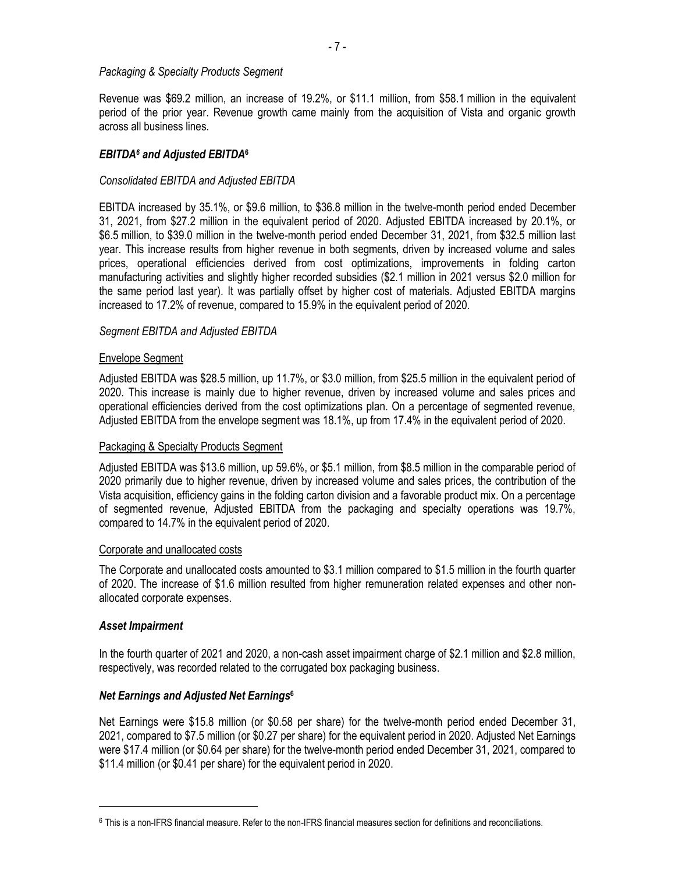#### *Packaging & Specialty Products Segment*

Revenue was \$69.2 million, an increase of 19.2%, or \$11.1 million, from \$58.1 million in the equivalent period of the prior year. Revenue growth came mainly from the acquisition of Vista and organic growth across all business lines.

## *EBITDA<sup>6</sup> and Adjusted EBITDA***<sup>6</sup>**

### *Consolidated EBITDA and Adjusted EBITDA*

EBITDA increased by 35.1%, or \$9.6 million, to \$36.8 million in the twelve-month period ended December 31, 2021, from \$27.2 million in the equivalent period of 2020. Adjusted EBITDA increased by 20.1%, or \$6.5 million, to \$39.0 million in the twelve-month period ended December 31, 2021, from \$32.5 million last year. This increase results from higher revenue in both segments, driven by increased volume and sales prices, operational efficiencies derived from cost optimizations, improvements in folding carton manufacturing activities and slightly higher recorded subsidies (\$2.1 million in 2021 versus \$2.0 million for the same period last year). It was partially offset by higher cost of materials. Adjusted EBITDA margins increased to 17.2% of revenue, compared to 15.9% in the equivalent period of 2020.

#### *Segment EBITDA and Adjusted EBITDA*

#### Envelope Segment

Adjusted EBITDA was \$28.5 million, up 11.7%, or \$3.0 million, from \$25.5 million in the equivalent period of 2020. This increase is mainly due to higher revenue, driven by increased volume and sales prices and operational efficiencies derived from the cost optimizations plan. On a percentage of segmented revenue, Adjusted EBITDA from the envelope segment was 18.1%, up from 17.4% in the equivalent period of 2020.

#### Packaging & Specialty Products Segment

Adjusted EBITDA was \$13.6 million, up 59.6%, or \$5.1 million, from \$8.5 million in the comparable period of 2020 primarily due to higher revenue, driven by increased volume and sales prices, the contribution of the Vista acquisition, efficiency gains in the folding carton division and a favorable product mix. On a percentage of segmented revenue, Adjusted EBITDA from the packaging and specialty operations was 19.7%, compared to 14.7% in the equivalent period of 2020.

#### Corporate and unallocated costs

The Corporate and unallocated costs amounted to \$3.1 million compared to \$1.5 million in the fourth quarter of 2020. The increase of \$1.6 million resulted from higher remuneration related expenses and other nonallocated corporate expenses.

### *Asset Impairment*

 $\overline{a}$ 

In the fourth quarter of 2021 and 2020, a non-cash asset impairment charge of \$2.1 million and \$2.8 million, respectively, was recorded related to the corrugated box packaging business.

### *Net Earnings and Adjusted Net Earnings***<sup>6</sup>**

Net Earnings were \$15.8 million (or \$0.58 per share) for the twelve-month period ended December 31, 2021, compared to \$7.5 million (or \$0.27 per share) for the equivalent period in 2020. Adjusted Net Earnings were \$17.4 million (or \$0.64 per share) for the twelve-month period ended December 31, 2021, compared to \$11.4 million (or \$0.41 per share) for the equivalent period in 2020.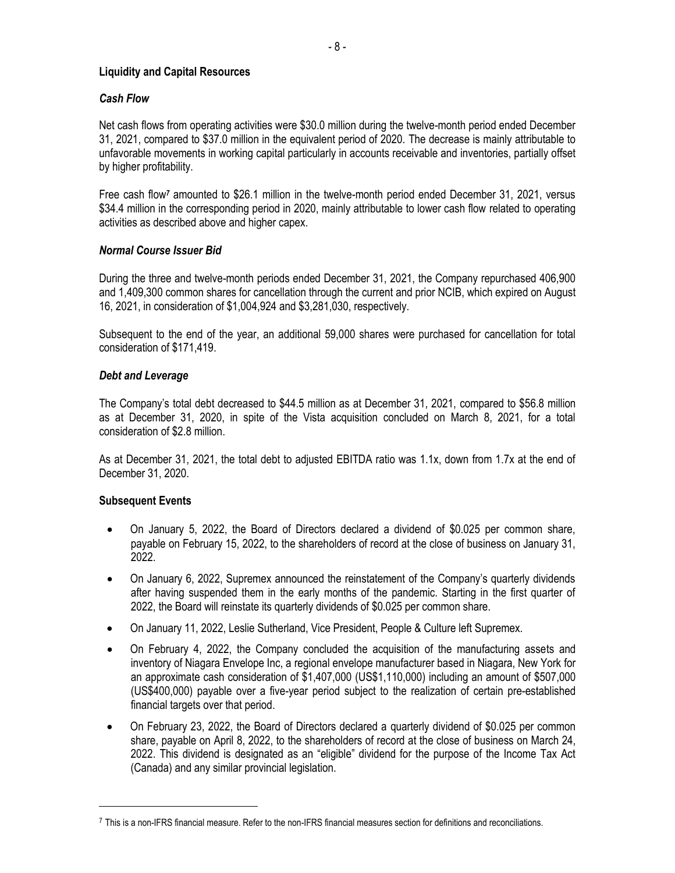## **Liquidity and Capital Resources**

# *Cash Flow*

Net cash flows from operating activities were \$30.0 million during the twelve-month period ended December 31, 2021, compared to \$37.0 million in the equivalent period of 2020. The decrease is mainly attributable to unfavorable movements in working capital particularly in accounts receivable and inventories, partially offset by higher profitability.

Free cash flow*<sup>7</sup>* amounted to \$26.1 million in the twelve-month period ended December 31, 2021, versus \$34.4 million in the corresponding period in 2020, mainly attributable to lower cash flow related to operating activities as described above and higher capex.

# *Normal Course Issuer Bid*

During the three and twelve-month periods ended December 31, 2021, the Company repurchased 406,900 and 1,409,300 common shares for cancellation through the current and prior NCIB, which expired on August 16, 2021, in consideration of \$1,004,924 and \$3,281,030, respectively.

Subsequent to the end of the year, an additional 59,000 shares were purchased for cancellation for total consideration of \$171,419.

# *Debt and Leverage*

The Company's total debt decreased to \$44.5 million as at December 31, 2021, compared to \$56.8 million as at December 31, 2020, in spite of the Vista acquisition concluded on March 8, 2021, for a total consideration of \$2.8 million.

As at December 31, 2021, the total debt to adjusted EBITDA ratio was 1.1x, down from 1.7x at the end of December 31, 2020.

# **Subsequent Events**

 $\overline{a}$ 

- On January 5, 2022, the Board of Directors declared a dividend of \$0.025 per common share, payable on February 15, 2022, to the shareholders of record at the close of business on January 31, 2022.
- On January 6, 2022, Supremex announced the reinstatement of the Company's quarterly dividends after having suspended them in the early months of the pandemic. Starting in the first quarter of 2022, the Board will reinstate its quarterly dividends of \$0.025 per common share.
- On January 11, 2022, Leslie Sutherland, Vice President, People & Culture left Supremex.
- On February 4, 2022, the Company concluded the acquisition of the manufacturing assets and inventory of Niagara Envelope Inc, a regional envelope manufacturer based in Niagara, New York for an approximate cash consideration of \$1,407,000 (US\$1,110,000) including an amount of \$507,000 (US\$400,000) payable over a five-year period subject to the realization of certain pre-established financial targets over that period.
- On February 23, 2022, the Board of Directors declared a quarterly dividend of \$0.025 per common share, payable on April 8, 2022, to the shareholders of record at the close of business on March 24, 2022. This dividend is designated as an "eligible" dividend for the purpose of the Income Tax Act (Canada) and any similar provincial legislation.

<sup>7</sup> This is a non-IFRS financial measure. Refer to the non-IFRS financial measures section for definitions and reconciliations.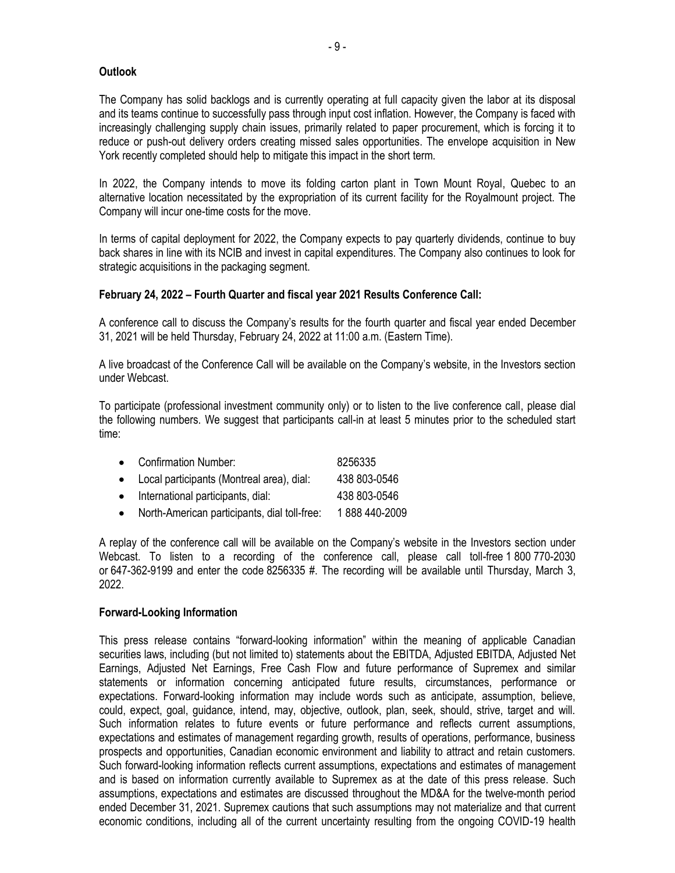## **Outlook**

The Company has solid backlogs and is currently operating at full capacity given the labor at its disposal and its teams continue to successfully pass through input cost inflation. However, the Company is faced with increasingly challenging supply chain issues, primarily related to paper procurement, which is forcing it to reduce or push-out delivery orders creating missed sales opportunities. The envelope acquisition in New York recently completed should help to mitigate this impact in the short term.

In 2022, the Company intends to move its folding carton plant in Town Mount Royal, Quebec to an alternative location necessitated by the expropriation of its current facility for the Royalmount project. The Company will incur one-time costs for the move.

In terms of capital deployment for 2022, the Company expects to pay quarterly dividends, continue to buy back shares in line with its NCIB and invest in capital expenditures. The Company also continues to look for strategic acquisitions in the packaging segment.

# **February 24, 2022 – Fourth Quarter and fiscal year 2021 Results Conference Call:**

A conference call to discuss the Company's results for the fourth quarter and fiscal year ended December 31, 2021 will be held Thursday, February 24, 2022 at 11:00 a.m. (Eastern Time).

A live broadcast of the Conference Call will be available on the Company's website, in the Investors section under Webcast.

To participate (professional investment community only) or to listen to the live conference call, please dial the following numbers. We suggest that participants call-in at least 5 minutes prior to the scheduled start time:

| • Confirmation Number:                         | 8256335       |
|------------------------------------------------|---------------|
| • Local participants (Montreal area), dial:    | 438 803-0546  |
| • International participants, dial:            | 438 803-0546  |
| • North-American participants, dial toll-free: | 1888 440-2009 |

A replay of the conference call will be available on the Company's website in the Investors section under Webcast. To listen to a recording of the conference call, please call toll-free 1 800 770-2030 or 647-362-9199 and enter the code 8256335 #. The recording will be available until Thursday, March 3, 2022.

### **Forward-Looking Information**

This press release contains "forward-looking information" within the meaning of applicable Canadian securities laws, including (but not limited to) statements about the EBITDA, Adjusted EBITDA, Adjusted Net Earnings, Adjusted Net Earnings, Free Cash Flow and future performance of Supremex and similar statements or information concerning anticipated future results, circumstances, performance or expectations. Forward-looking information may include words such as anticipate, assumption, believe, could, expect, goal, guidance, intend, may, objective, outlook, plan, seek, should, strive, target and will. Such information relates to future events or future performance and reflects current assumptions, expectations and estimates of management regarding growth, results of operations, performance, business prospects and opportunities, Canadian economic environment and liability to attract and retain customers. Such forward-looking information reflects current assumptions, expectations and estimates of management and is based on information currently available to Supremex as at the date of this press release. Such assumptions, expectations and estimates are discussed throughout the MD&A for the twelve-month period ended December 31, 2021. Supremex cautions that such assumptions may not materialize and that current economic conditions, including all of the current uncertainty resulting from the ongoing COVID-19 health